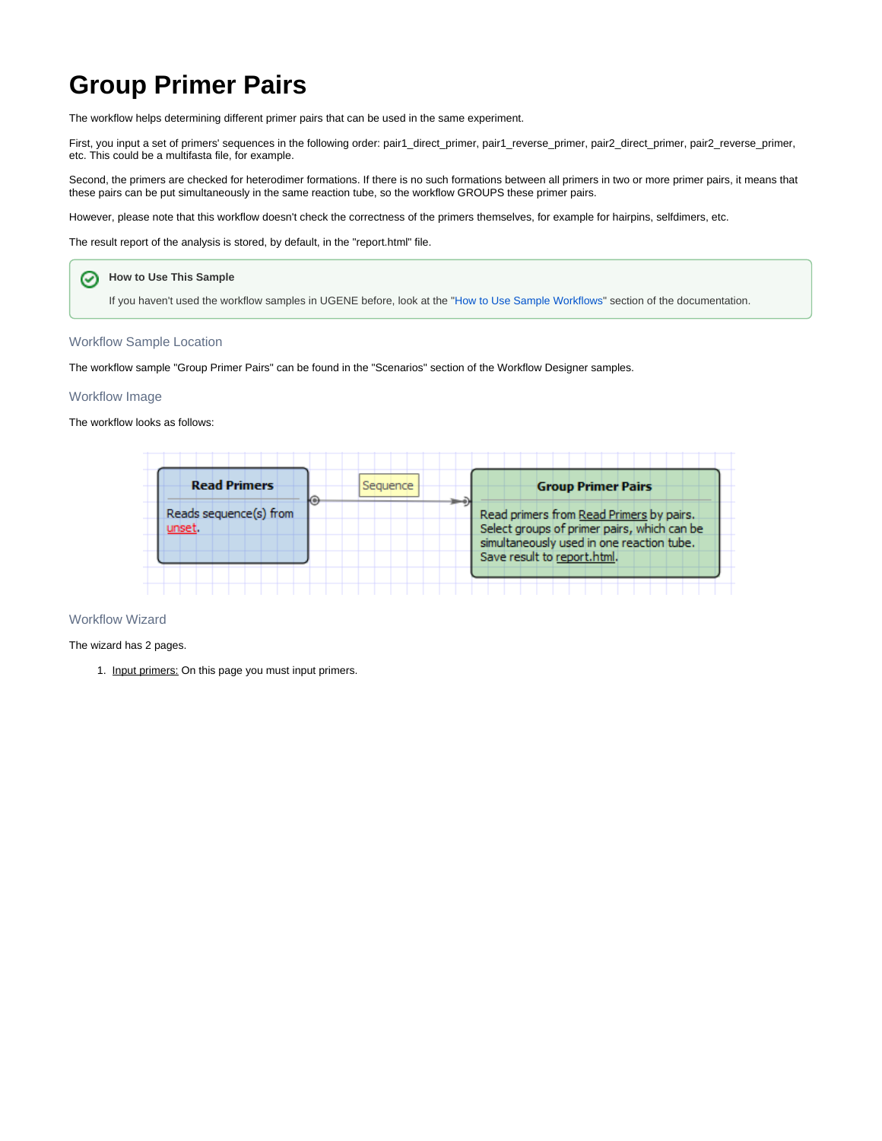## **Group Primer Pairs**

The workflow helps determining different primer pairs that can be used in the same experiment.

First, you input a set of primers' sequences in the following order: pair1\_direct\_primer, pair1\_reverse\_primer, pair2\_direct\_primer, pair2\_reverse\_primer, etc. This could be a multifasta file, for example.

Second, the primers are checked for heterodimer formations. If there is no such formations between all primers in two or more primer pairs, it means that these pairs can be put simultaneously in the same reaction tube, so the workflow GROUPS these primer pairs.

However, please note that this workflow doesn't check the correctness of the primers themselves, for example for hairpins, selfdimers, etc.

The result report of the analysis is stored, by default, in the "report.html" file.



If you haven't used the workflow samples in UGENE before, look at the "[How to Use Sample Workflows"](https://doc.ugene.net/wiki/display/UM/How+to+Use+Sample+Workflows) section of the documentation.

## Workflow Sample Location

The workflow sample "Group Primer Pairs" can be found in the "Scenarios" section of the Workflow Designer samples.

## Workflow Image

The workflow looks as follows:



## Workflow Wizard

The wizard has 2 pages.

1. Input primers: On this page you must input primers.